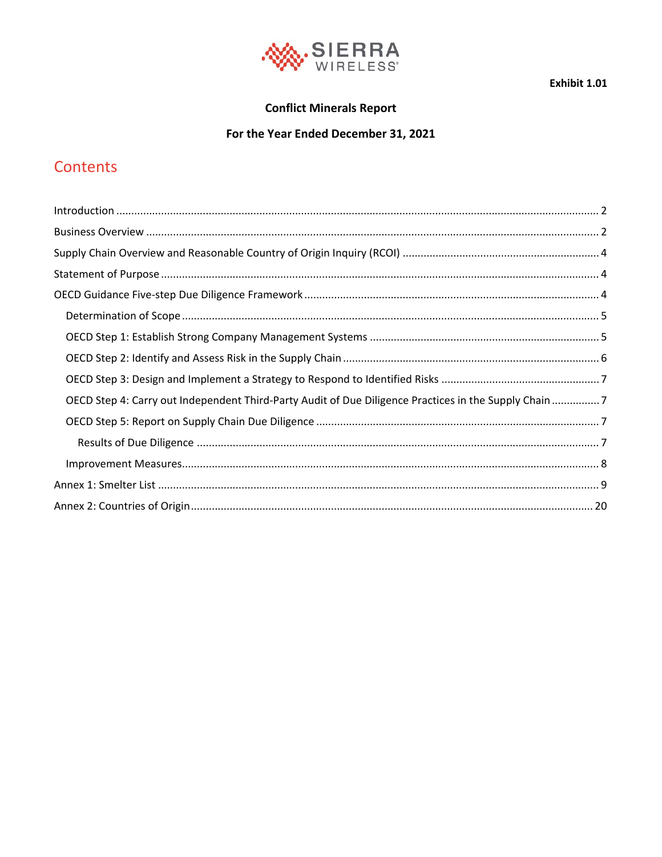

Exhibit 1.01

### **Conflict Minerals Report**

### For the Year Ended December 31, 2021

## Contents

| OECD Step 4: Carry out Independent Third-Party Audit of Due Diligence Practices in the Supply Chain 7 |  |
|-------------------------------------------------------------------------------------------------------|--|
|                                                                                                       |  |
|                                                                                                       |  |
|                                                                                                       |  |
|                                                                                                       |  |
|                                                                                                       |  |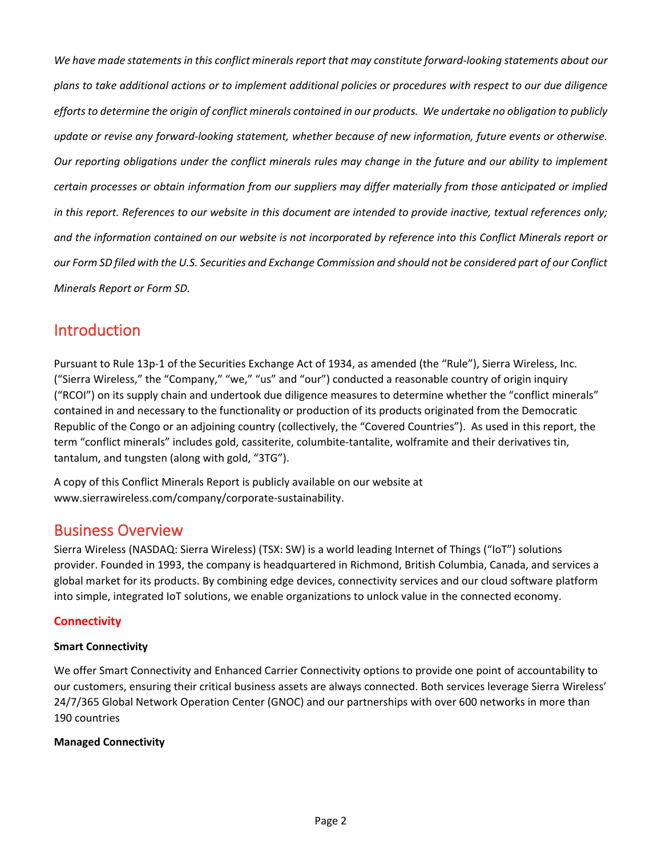*We have made statements in this conflict minerals report that may constitute forward-looking statements about our plans to take additional actions or to implement additional policies or procedures with respect to our due diligence efforts to determine the origin of conflict minerals contained in our products. We undertake no obligation to publicly update or revise any forward-looking statement, whether because of new information, future events or otherwise. Our reporting obligations under the conflict minerals rules may change in the future and our ability to implement certain processes or obtain information from our suppliers may differ materially from those anticipated or implied in this report. References to our website in this document are intended to provide inactive, textual references only; and the information contained on our website is not incorporated by reference into this Conflict Minerals report or our Form SD filed with the U.S. Securities and Exchange Commission and should not be considered part of our Conflict Minerals Report or Form SD.*

## <span id="page-1-0"></span>Introduction

Pursuant to Rule 13p-1 of the Securities Exchange Act of 1934, as amended (the "Rule"), Sierra Wireless, Inc. ("Sierra Wireless," the "Company," "we," "us" and "our") conducted a reasonable country of origin inquiry ("RCOI") on its supply chain and undertook due diligence measures to determine whether the "conflict minerals" contained in and necessary to the functionality or production of its products originated from the Democratic Republic of the Congo or an adjoining country (collectively, the "Covered Countries"). As used in this report, the term "conflict minerals" includes gold, cassiterite, columbite-tantalite, wolframite and their derivatives tin, tantalum, and tungsten (along with gold, "3TG").

A copy of this Conflict Minerals Report is publicly available on our website at www.sierrawireless.com/company/corporate-sustainability.

### <span id="page-1-1"></span>Business Overview

Sierra Wireless (NASDAQ: Sierra Wireless) (TSX: SW) is a world leading Internet of Things ("IoT") solutions provider. Founded in 1993, the company is headquartered in Richmond, British Columbia, Canada, and services a global market for its products. By combining edge devices, connectivity services and our cloud software platform into simple, integrated IoT solutions, we enable organizations to unlock value in the connected economy.

### **Connectivity**

### **Smart Connectivity**

We offer Smart Connectivity and Enhanced Carrier Connectivity options to provide one point of accountability to our customers, ensuring their critical business assets are always connected. Both services leverage Sierra Wireless' 24/7/365 Global Network Operation Center (GNOC) and our partnerships with over 600 networks in more than 190 countries

### **Managed Connectivity**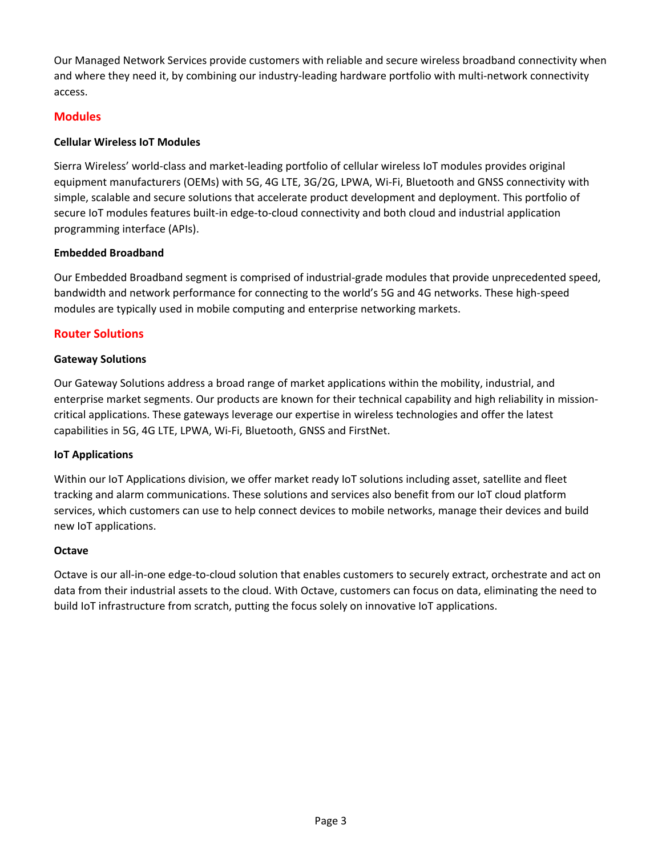Our Managed Network Services provide customers with reliable and secure wireless broadband connectivity when and where they need it, by combining our industry-leading hardware portfolio with multi-network connectivity access.

### **Modules**

#### **Cellular Wireless IoT Modules**

Sierra Wireless' world-class and market-leading portfolio of cellular wireless IoT modules provides original equipment manufacturers (OEMs) with 5G, 4G LTE, 3G/2G, LPWA, Wi-Fi, Bluetooth and GNSS connectivity with simple, scalable and secure solutions that accelerate product development and deployment. This portfolio of secure IoT modules features built-in edge-to-cloud connectivity and both cloud and industrial application programming interface (APIs).

#### **Embedded Broadband**

Our Embedded Broadband segment is comprised of industrial-grade modules that provide unprecedented speed, bandwidth and network performance for connecting to the world's 5G and 4G networks. These high-speed modules are typically used in mobile computing and enterprise networking markets.

### **Router Solutions**

#### **Gateway Solutions**

Our Gateway Solutions address a broad range of market applications within the mobility, industrial, and enterprise market segments. Our products are known for their technical capability and high reliability in missioncritical applications. These gateways leverage our expertise in wireless technologies and offer the latest capabilities in 5G, 4G LTE, LPWA, Wi-Fi, Bluetooth, GNSS and FirstNet.

### **IoT Applications**

Within our IoT Applications division, we offer market ready IoT solutions including asset, satellite and fleet tracking and alarm communications. These solutions and services also benefit from our IoT cloud platform services, which customers can use to help connect devices to mobile networks, manage their devices and build new IoT applications.

#### **Octave**

Octave is our all-in-one edge-to-cloud solution that enables customers to securely extract, orchestrate and act on data from their industrial assets to the cloud. With Octave, customers can focus on data, eliminating the need to build IoT infrastructure from scratch, putting the focus solely on innovative IoT applications.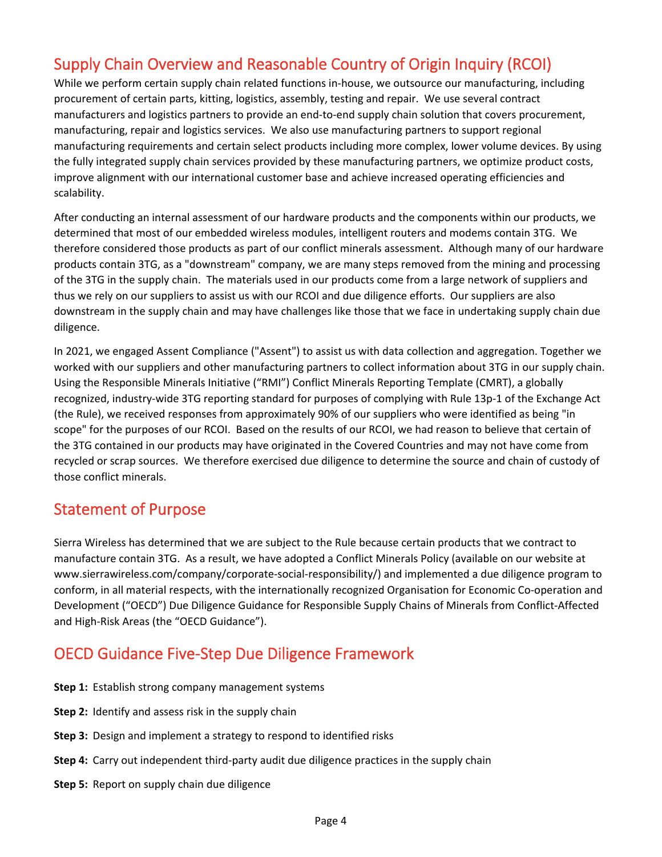## <span id="page-3-0"></span>Supply Chain Overview and Reasonable Country of Origin Inquiry (RCOI)

While we perform certain supply chain related functions in-house, we outsource our manufacturing, including procurement of certain parts, kitting, logistics, assembly, testing and repair. We use several contract manufacturers and logistics partners to provide an end-to-end supply chain solution that covers procurement, manufacturing, repair and logistics services. We also use manufacturing partners to support regional manufacturing requirements and certain select products including more complex, lower volume devices. By using the fully integrated supply chain services provided by these manufacturing partners, we optimize product costs, improve alignment with our international customer base and achieve increased operating efficiencies and scalability.

After conducting an internal assessment of our hardware products and the components within our products, we determined that most of our embedded wireless modules, intelligent routers and modems contain 3TG. We therefore considered those products as part of our conflict minerals assessment. Although many of our hardware products contain 3TG, as a "downstream" company, we are many steps removed from the mining and processing of the 3TG in the supply chain. The materials used in our products come from a large network of suppliers and thus we rely on our suppliers to assist us with our RCOI and due diligence efforts. Our suppliers are also downstream in the supply chain and may have challenges like those that we face in undertaking supply chain due diligence.

In 2021, we engaged Assent Compliance ("Assent") to assist us with data collection and aggregation. Together we worked with our suppliers and other manufacturing partners to collect information about 3TG in our supply chain. Using the Responsible Minerals Initiative ("RMI") Conflict Minerals Reporting Template (CMRT), a globally recognized, industry-wide 3TG reporting standard for purposes of complying with Rule 13p-1 of the Exchange Act (the Rule), we received responses from approximately 90% of our suppliers who were identified as being "in scope" for the purposes of our RCOI. Based on the results of our RCOI, we had reason to believe that certain of the 3TG contained in our products may have originated in the Covered Countries and may not have come from recycled or scrap sources. We therefore exercised due diligence to determine the source and chain of custody of those conflict minerals.

## <span id="page-3-1"></span>Statement of Purpose

Sierra Wireless has determined that we are subject to the Rule because certain products that we contract to manufacture contain 3TG. As a result, we have adopted a Conflict Minerals Policy (available on our website at www.sierrawireless.com/company/corporate-social-responsibility/) and implemented a due diligence program to conform, in all material respects, with the internationally recognized Organisation for Economic Co-operation and Development ("OECD") Due Diligence Guidance for Responsible Supply Chains of Minerals from Conflict-Affected and High-Risk Areas (the "OECD Guidance").

## <span id="page-3-2"></span>OECD Guidance Five-Step Due Diligence Framework

- **Step 1:** Establish strong company management systems
- **Step 2:** Identify and assess risk in the supply chain
- **Step 3:** Design and implement a strategy to respond to identified risks
- **Step 4:** Carry out independent third-party audit due diligence practices in the supply chain
- **Step 5:** Report on supply chain due diligence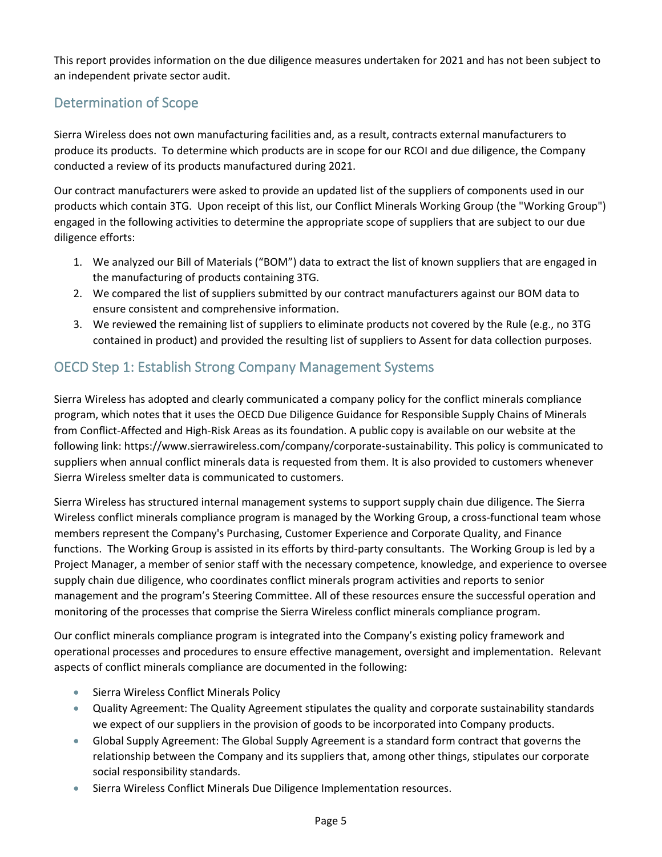This report provides information on the due diligence measures undertaken for 2021 and has not been subject to an independent private sector audit.

## <span id="page-4-0"></span>Determination of Scope

Sierra Wireless does not own manufacturing facilities and, as a result, contracts external manufacturers to produce its products. To determine which products are in scope for our RCOI and due diligence, the Company conducted a review of its products manufactured during 2021.

Our contract manufacturers were asked to provide an updated list of the suppliers of components used in our products which contain 3TG. Upon receipt of this list, our Conflict Minerals Working Group (the "Working Group") engaged in the following activities to determine the appropriate scope of suppliers that are subject to our due diligence efforts:

- 1. We analyzed our Bill of Materials ("BOM") data to extract the list of known suppliers that are engaged in the manufacturing of products containing 3TG.
- 2. We compared the list of suppliers submitted by our contract manufacturers against our BOM data to ensure consistent and comprehensive information.
- 3. We reviewed the remaining list of suppliers to eliminate products not covered by the Rule (e.g., no 3TG contained in product) and provided the resulting list of suppliers to Assent for data collection purposes.

## <span id="page-4-1"></span>OECD Step 1: Establish Strong Company Management Systems

Sierra Wireless has adopted and clearly communicated a company policy for the conflict minerals compliance program, which notes that it uses the OECD Due Diligence Guidance for Responsible Supply Chains of Minerals from Conflict-Affected and High-Risk Areas as its foundation. A public copy is available on our website at the following link: https://www.sierrawireless.com/company/corporate-sustainability. This policy is communicated to suppliers when annual conflict minerals data is requested from them. It is also provided to customers whenever Sierra Wireless smelter data is communicated to customers.

Sierra Wireless has structured internal management systems to support supply chain due diligence. The Sierra Wireless conflict minerals compliance program is managed by the Working Group, a cross-functional team whose members represent the Company's Purchasing, Customer Experience and Corporate Quality, and Finance functions. The Working Group is assisted in its efforts by third-party consultants. The Working Group is led by a Project Manager, a member of senior staff with the necessary competence, knowledge, and experience to oversee supply chain due diligence, who coordinates conflict minerals program activities and reports to senior management and the program's Steering Committee. All of these resources ensure the successful operation and monitoring of the processes that comprise the Sierra Wireless conflict minerals compliance program.

Our conflict minerals compliance program is integrated into the Company's existing policy framework and operational processes and procedures to ensure effective management, oversight and implementation. Relevant aspects of conflict minerals compliance are documented in the following:

- Sierra Wireless Conflict Minerals Policy
- Quality Agreement: The Quality Agreement stipulates the quality and corporate sustainability standards we expect of our suppliers in the provision of goods to be incorporated into Company products.
- Global Supply Agreement: The Global Supply Agreement is a standard form contract that governs the relationship between the Company and its suppliers that, among other things, stipulates our corporate social responsibility standards.
- Sierra Wireless Conflict Minerals Due Diligence Implementation resources.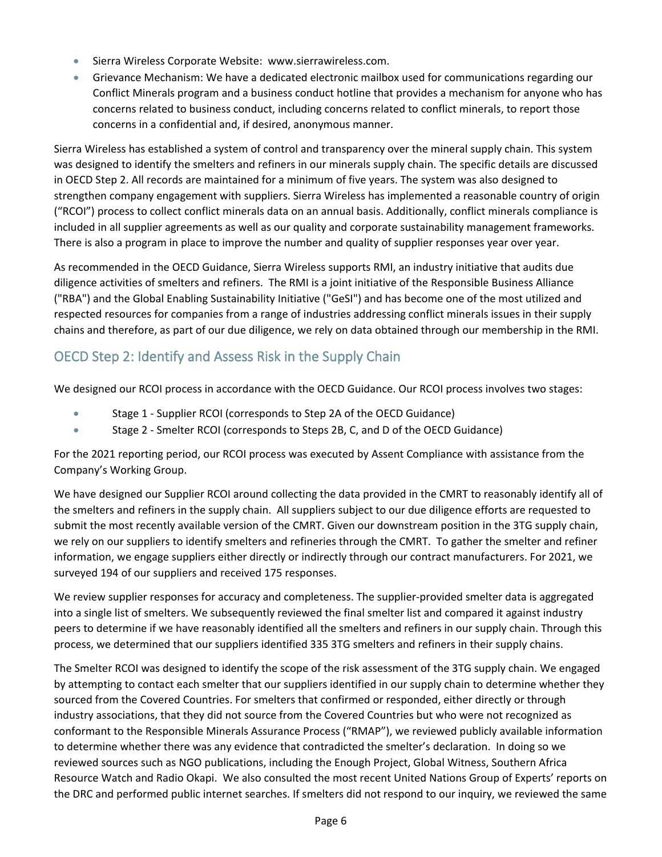- Sierra Wireless Corporate Website: www.sierrawireless.com.
- Grievance Mechanism: We have a dedicated electronic mailbox used for communications regarding our Conflict Minerals program and a business conduct hotline that provides a mechanism for anyone who has concerns related to business conduct, including concerns related to conflict minerals, to report those concerns in a confidential and, if desired, anonymous manner.

Sierra Wireless has established a system of control and transparency over the mineral supply chain. This system was designed to identify the smelters and refiners in our minerals supply chain. The specific details are discussed in OECD Step 2. All records are maintained for a minimum of five years. The system was also designed to strengthen company engagement with suppliers. Sierra Wireless has implemented a reasonable country of origin ("RCOI") process to collect conflict minerals data on an annual basis. Additionally, conflict minerals compliance is included in all supplier agreements as well as our quality and corporate sustainability management frameworks. There is also a program in place to improve the number and quality of supplier responses year over year.

As recommended in the OECD Guidance, Sierra Wireless supports RMI, an industry initiative that audits due diligence activities of smelters and refiners. The RMI is a joint initiative of the Responsible Business Alliance ("RBA") and the Global Enabling Sustainability Initiative ("GeSI") and has become one of the most utilized and respected resources for companies from a range of industries addressing conflict minerals issues in their supply chains and therefore, as part of our due diligence, we rely on data obtained through our membership in the RMI.

### <span id="page-5-0"></span>OECD Step 2: Identify and Assess Risk in the Supply Chain

We designed our RCOI process in accordance with the OECD Guidance. Our RCOI process involves two stages:

- Stage 1 Supplier RCOI (corresponds to Step 2A of the OECD Guidance)
- Stage 2 Smelter RCOI (corresponds to Steps 2B, C, and D of the OECD Guidance)

For the 2021 reporting period, our RCOI process was executed by Assent Compliance with assistance from the Company's Working Group.

We have designed our Supplier RCOI around collecting the data provided in the CMRT to reasonably identify all of the smelters and refiners in the supply chain. All suppliers subject to our due diligence efforts are requested to submit the most recently available version of the CMRT. Given our downstream position in the 3TG supply chain, we rely on our suppliers to identify smelters and refineries through the CMRT. To gather the smelter and refiner information, we engage suppliers either directly or indirectly through our contract manufacturers. For 2021, we surveyed 194 of our suppliers and received 175 responses.

We review supplier responses for accuracy and completeness. The supplier-provided smelter data is aggregated into a single list of smelters. We subsequently reviewed the final smelter list and compared it against industry peers to determine if we have reasonably identified all the smelters and refiners in our supply chain. Through this process, we determined that our suppliers identified 335 3TG smelters and refiners in their supply chains.

The Smelter RCOI was designed to identify the scope of the risk assessment of the 3TG supply chain. We engaged by attempting to contact each smelter that our suppliers identified in our supply chain to determine whether they sourced from the Covered Countries. For smelters that confirmed or responded, either directly or through industry associations, that they did not source from the Covered Countries but who were not recognized as conformant to the Responsible Minerals Assurance Process ("RMAP"), we reviewed publicly available information to determine whether there was any evidence that contradicted the smelter's declaration. In doing so we reviewed sources such as NGO publications, including the Enough Project, Global Witness, Southern Africa Resource Watch and Radio Okapi. We also consulted the most recent United Nations Group of Experts' reports on the DRC and performed public internet searches. If smelters did not respond to our inquiry, we reviewed the same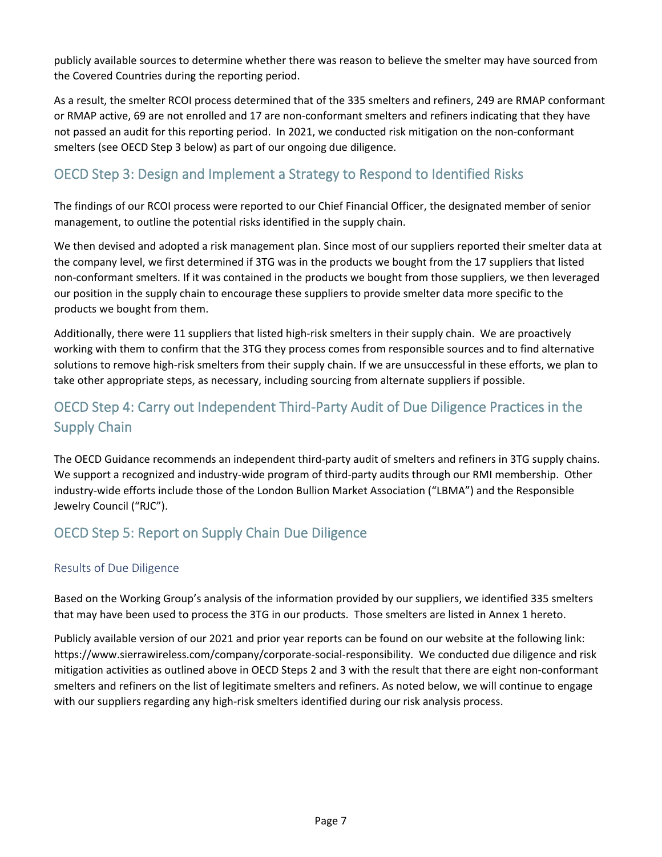publicly available sources to determine whether there was reason to believe the smelter may have sourced from the Covered Countries during the reporting period.

As a result, the smelter RCOI process determined that of the 335 smelters and refiners, 249 are RMAP conformant or RMAP active, 69 are not enrolled and 17 are non-conformant smelters and refiners indicating that they have not passed an audit for this reporting period. In 2021, we conducted risk mitigation on the non-conformant smelters (see OECD Step 3 below) as part of our ongoing due diligence.

### <span id="page-6-0"></span>OECD Step 3: Design and Implement a Strategy to Respond to Identified Risks

The findings of our RCOI process were reported to our Chief Financial Officer, the designated member of senior management, to outline the potential risks identified in the supply chain.

We then devised and adopted a risk management plan. Since most of our suppliers reported their smelter data at the company level, we first determined if 3TG was in the products we bought from the 17 suppliers that listed non-conformant smelters. If it was contained in the products we bought from those suppliers, we then leveraged our position in the supply chain to encourage these suppliers to provide smelter data more specific to the products we bought from them.

Additionally, there were 11 suppliers that listed high-risk smelters in their supply chain. We are proactively working with them to confirm that the 3TG they process comes from responsible sources and to find alternative solutions to remove high-risk smelters from their supply chain. If we are unsuccessful in these efforts, we plan to take other appropriate steps, as necessary, including sourcing from alternate suppliers if possible.

## <span id="page-6-1"></span>OECD Step 4: Carry out Independent Third-Party Audit of Due Diligence Practices in the Supply Chain

The OECD Guidance recommends an independent third-party audit of smelters and refiners in 3TG supply chains. We support a recognized and industry-wide program of third-party audits through our RMI membership. Other industry-wide efforts include those of the London Bullion Market Association ("LBMA") and the Responsible Jewelry Council ("RJC").

### <span id="page-6-2"></span>OECD Step 5: Report on Supply Chain Due Diligence

### <span id="page-6-3"></span>Results of Due Diligence

Based on the Working Group's analysis of the information provided by our suppliers, we identified 335 smelters that may have been used to process the 3TG in our products. Those smelters are listed in Annex 1 hereto.

<span id="page-6-4"></span>Publicly available version of our 2021 and prior year reports can be found on our website at the following link: https://www.sierrawireless.com/company/corporate-social-responsibility. We conducted due diligence and risk mitigation activities as outlined above in OECD Steps 2 and 3 with the result that there are eight non-conformant smelters and refiners on the list of legitimate smelters and refiners. As noted below, we will continue to engage with our suppliers regarding any high-risk smelters identified during our risk analysis process.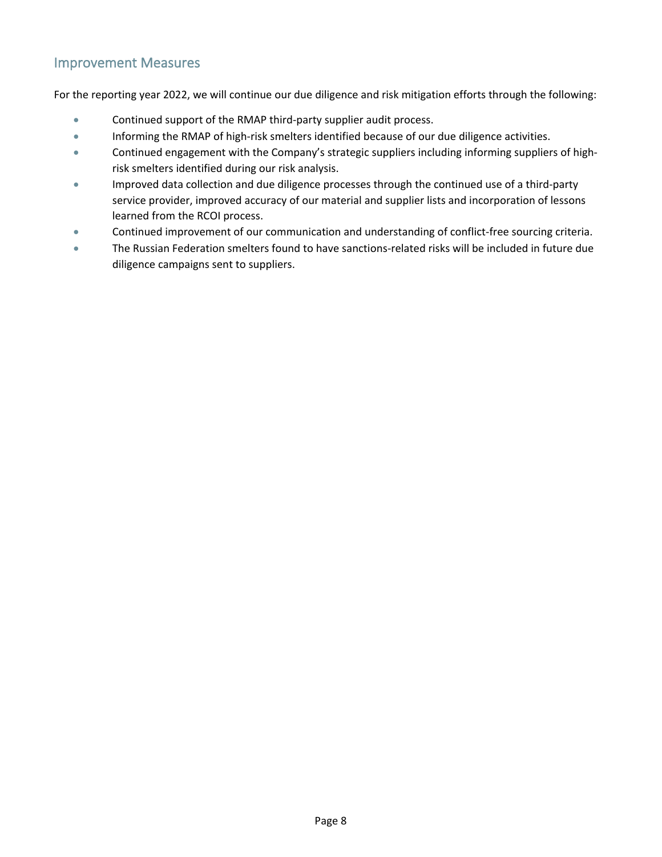### Improvement Measures

For the reporting year 2022, we will continue our due diligence and risk mitigation efforts through the following:

- Continued support of the RMAP third-party supplier audit process.
- Informing the RMAP of high-risk smelters identified because of our due diligence activities.
- Continued engagement with the Company's strategic suppliers including informing suppliers of highrisk smelters identified during our risk analysis.
- Improved data collection and due diligence processes through the continued use of a third-party service provider, improved accuracy of our material and supplier lists and incorporation of lessons learned from the RCOI process.
- Continued improvement of our communication and understanding of conflict-free sourcing criteria.
- The Russian Federation smelters found to have sanctions-related risks will be included in future due diligence campaigns sent to suppliers.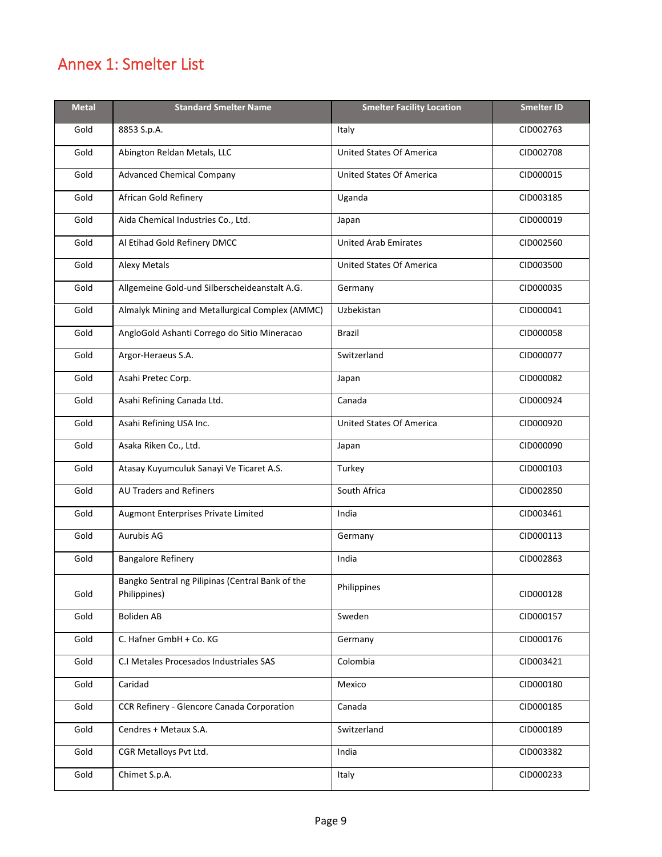# <span id="page-8-0"></span>Annex 1: Smelter List

| <b>Metal</b> | <b>Standard Smelter Name</b>                                     | <b>Smelter Facility Location</b> | <b>Smelter ID</b> |
|--------------|------------------------------------------------------------------|----------------------------------|-------------------|
| Gold         | 8853 S.p.A.                                                      | Italy                            | CID002763         |
| Gold         | Abington Reldan Metals, LLC                                      | <b>United States Of America</b>  | CID002708         |
| Gold         | <b>Advanced Chemical Company</b>                                 | <b>United States Of America</b>  | CID000015         |
| Gold         | African Gold Refinery                                            | Uganda                           | CID003185         |
| Gold         | Aida Chemical Industries Co., Ltd.                               | Japan                            | CID000019         |
| Gold         | Al Etihad Gold Refinery DMCC                                     | <b>United Arab Emirates</b>      | CID002560         |
| Gold         | <b>Alexy Metals</b>                                              | <b>United States Of America</b>  | CID003500         |
| Gold         | Allgemeine Gold-und Silberscheideanstalt A.G.                    | Germany                          | CID000035         |
| Gold         | Almalyk Mining and Metallurgical Complex (AMMC)                  | Uzbekistan                       | CID000041         |
| Gold         | AngloGold Ashanti Corrego do Sitio Mineracao                     | <b>Brazil</b>                    | CID000058         |
| Gold         | Argor-Heraeus S.A.                                               | Switzerland                      | CID000077         |
| Gold         | Asahi Pretec Corp.                                               | Japan                            | CID000082         |
| Gold         | Asahi Refining Canada Ltd.                                       | Canada                           | CID000924         |
| Gold         | Asahi Refining USA Inc.                                          | <b>United States Of America</b>  | CID000920         |
| Gold         | Asaka Riken Co., Ltd.                                            | Japan                            | CID000090         |
| Gold         | Atasay Kuyumculuk Sanayi Ve Ticaret A.S.                         | Turkey                           | CID000103         |
| Gold         | AU Traders and Refiners                                          | South Africa                     | CID002850         |
| Gold         | Augmont Enterprises Private Limited                              | India                            | CID003461         |
| Gold         | Aurubis AG                                                       | Germany                          | CID000113         |
| Gold         | <b>Bangalore Refinery</b>                                        | India                            | CID002863         |
| Gold         | Bangko Sentral ng Pilipinas (Central Bank of the<br>Philippines) | Philippines                      | CID000128         |
| Gold         | <b>Boliden AB</b>                                                | Sweden                           | CID000157         |
| Gold         | C. Hafner GmbH + Co. KG                                          | Germany                          | CID000176         |
| Gold         | C.I Metales Procesados Industriales SAS                          | Colombia                         | CID003421         |
| Gold         | Caridad                                                          | Mexico                           | CID000180         |
| Gold         | CCR Refinery - Glencore Canada Corporation                       | Canada                           | CID000185         |
| Gold         | Cendres + Metaux S.A.                                            | Switzerland                      | CID000189         |
| Gold         | CGR Metalloys Pvt Ltd.                                           | India                            | CID003382         |
| Gold         | Chimet S.p.A.                                                    | Italy                            | CID000233         |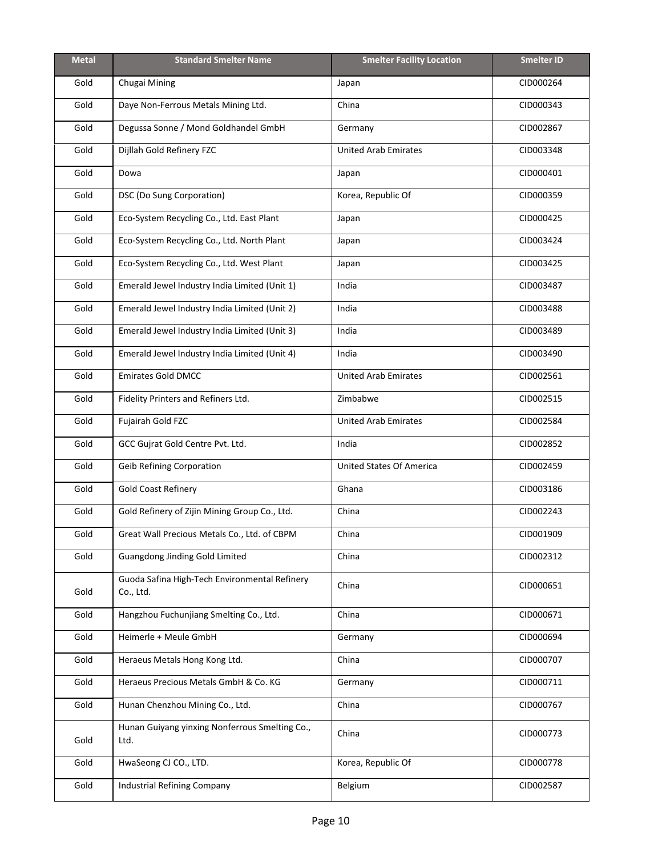| <b>Metal</b> | <b>Standard Smelter Name</b>                               | <b>Smelter Facility Location</b> | <b>Smelter ID</b> |
|--------------|------------------------------------------------------------|----------------------------------|-------------------|
| Gold         | Chugai Mining                                              | Japan                            | CID000264         |
| Gold         | Daye Non-Ferrous Metals Mining Ltd.                        | China                            | CID000343         |
| Gold         | Degussa Sonne / Mond Goldhandel GmbH                       | Germany                          | CID002867         |
| Gold         | Dijllah Gold Refinery FZC                                  | <b>United Arab Emirates</b>      | CID003348         |
| Gold         | Dowa                                                       | Japan                            | CID000401         |
| Gold         | DSC (Do Sung Corporation)                                  | Korea, Republic Of               | CID000359         |
| Gold         | Eco-System Recycling Co., Ltd. East Plant                  | Japan                            | CID000425         |
| Gold         | Eco-System Recycling Co., Ltd. North Plant                 | Japan                            | CID003424         |
| Gold         | Eco-System Recycling Co., Ltd. West Plant                  | Japan                            | CID003425         |
| Gold         | Emerald Jewel Industry India Limited (Unit 1)              | India                            | CID003487         |
| Gold         | Emerald Jewel Industry India Limited (Unit 2)              | India                            | CID003488         |
| Gold         | Emerald Jewel Industry India Limited (Unit 3)              | India                            | CID003489         |
| Gold         | Emerald Jewel Industry India Limited (Unit 4)              | India                            | CID003490         |
| Gold         | <b>Emirates Gold DMCC</b>                                  | United Arab Emirates             | CID002561         |
| Gold         | Fidelity Printers and Refiners Ltd.                        | Zimbabwe                         | CID002515         |
| Gold         | Fujairah Gold FZC                                          | <b>United Arab Emirates</b>      | CID002584         |
| Gold         | GCC Gujrat Gold Centre Pvt. Ltd.                           | India                            | CID002852         |
| Gold         | <b>Geib Refining Corporation</b>                           | <b>United States Of America</b>  | CID002459         |
| Gold         | <b>Gold Coast Refinery</b>                                 | Ghana                            | CID003186         |
| Gold         | Gold Refinery of Zijin Mining Group Co., Ltd.              | China                            | CID002243         |
| Gold         | Great Wall Precious Metals Co., Ltd. of CBPM               | China                            | CID001909         |
| Gold         | Guangdong Jinding Gold Limited                             | China                            | CID002312         |
| Gold         | Guoda Safina High-Tech Environmental Refinery<br>Co., Ltd. | China                            | CID000651         |
| Gold         | Hangzhou Fuchunjiang Smelting Co., Ltd.                    | China                            | CID000671         |
| Gold         | Heimerle + Meule GmbH                                      | Germany                          | CID000694         |
| Gold         | Heraeus Metals Hong Kong Ltd.                              | China                            | CID000707         |
| Gold         | Heraeus Precious Metals GmbH & Co. KG                      | Germany                          | CID000711         |
| Gold         | Hunan Chenzhou Mining Co., Ltd.                            | China                            | CID000767         |
| Gold         | Hunan Guiyang yinxing Nonferrous Smelting Co.,<br>Ltd.     | China                            | CID000773         |
| Gold         | HwaSeong CJ CO., LTD.                                      | Korea, Republic Of               | CID000778         |
| Gold         | Industrial Refining Company                                | Belgium                          | CID002587         |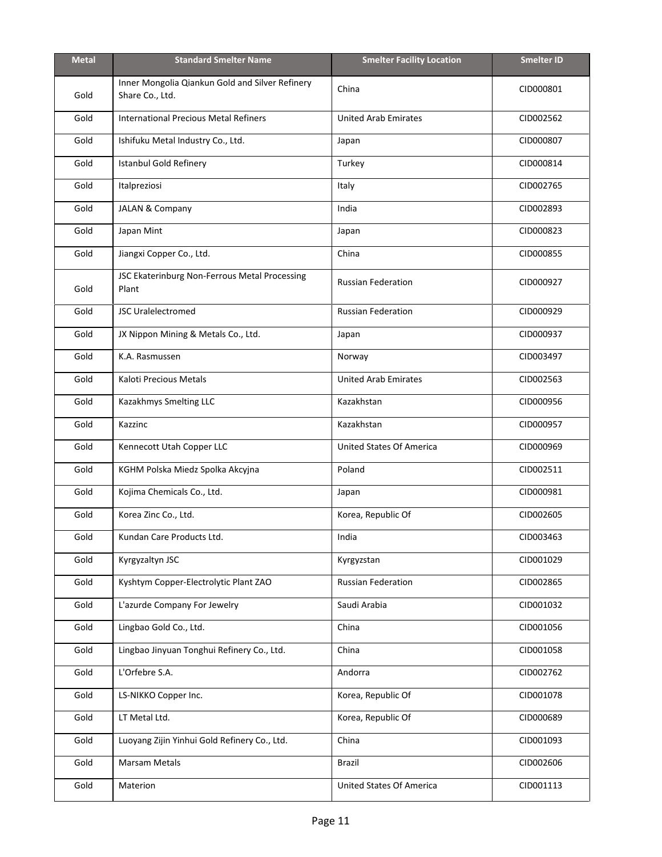| <b>Metal</b> | <b>Standard Smelter Name</b>                                       | <b>Smelter Facility Location</b> | <b>Smelter ID</b> |
|--------------|--------------------------------------------------------------------|----------------------------------|-------------------|
| Gold         | Inner Mongolia Qiankun Gold and Silver Refinery<br>Share Co., Ltd. | China                            | CID000801         |
| Gold         | <b>International Precious Metal Refiners</b>                       | <b>United Arab Emirates</b>      | CID002562         |
| Gold         | Ishifuku Metal Industry Co., Ltd.                                  | Japan                            | CID000807         |
| Gold         | <b>Istanbul Gold Refinery</b>                                      | Turkey                           | CID000814         |
| Gold         | Italpreziosi                                                       | Italy                            | CID002765         |
| Gold         | JALAN & Company                                                    | India                            | CID002893         |
| Gold         | Japan Mint                                                         | Japan                            | CID000823         |
| Gold         | Jiangxi Copper Co., Ltd.                                           | China                            | CID000855         |
| Gold         | JSC Ekaterinburg Non-Ferrous Metal Processing<br>Plant             | <b>Russian Federation</b>        | CID000927         |
| Gold         | <b>JSC Uralelectromed</b>                                          | <b>Russian Federation</b>        | CID000929         |
| Gold         | JX Nippon Mining & Metals Co., Ltd.                                | Japan                            | CID000937         |
| Gold         | K.A. Rasmussen                                                     | Norway                           | CID003497         |
| Gold         | Kaloti Precious Metals                                             | <b>United Arab Emirates</b>      | CID002563         |
| Gold         | Kazakhmys Smelting LLC                                             | Kazakhstan                       | CID000956         |
| Gold         | Kazzinc                                                            | Kazakhstan                       | CID000957         |
| Gold         | Kennecott Utah Copper LLC                                          | <b>United States Of America</b>  | CID000969         |
| Gold         | KGHM Polska Miedz Spolka Akcyjna                                   | Poland                           | CID002511         |
| Gold         | Kojima Chemicals Co., Ltd.                                         | Japan                            | CID000981         |
| Gold         | Korea Zinc Co., Ltd.                                               | Korea, Republic Of               | CID002605         |
| Gold         | Kundan Care Products Ltd.                                          | India                            | CID003463         |
| Gold         | Kyrgyzaltyn JSC                                                    | Kyrgyzstan                       | CID001029         |
| Gold         | Kyshtym Copper-Electrolytic Plant ZAO                              | <b>Russian Federation</b>        | CID002865         |
| Gold         | L'azurde Company For Jewelry                                       | Saudi Arabia                     | CID001032         |
| Gold         | Lingbao Gold Co., Ltd.                                             | China                            | CID001056         |
| Gold         | Lingbao Jinyuan Tonghui Refinery Co., Ltd.                         | China                            | CID001058         |
| Gold         | L'Orfebre S.A.                                                     | Andorra                          | CID002762         |
| Gold         | LS-NIKKO Copper Inc.                                               | Korea, Republic Of               | CID001078         |
| Gold         | LT Metal Ltd.                                                      | Korea, Republic Of               | CID000689         |
| Gold         | Luoyang Zijin Yinhui Gold Refinery Co., Ltd.                       | China                            | CID001093         |
| Gold         | Marsam Metals                                                      | Brazil                           | CID002606         |
| Gold         | Materion                                                           | <b>United States Of America</b>  | CID001113         |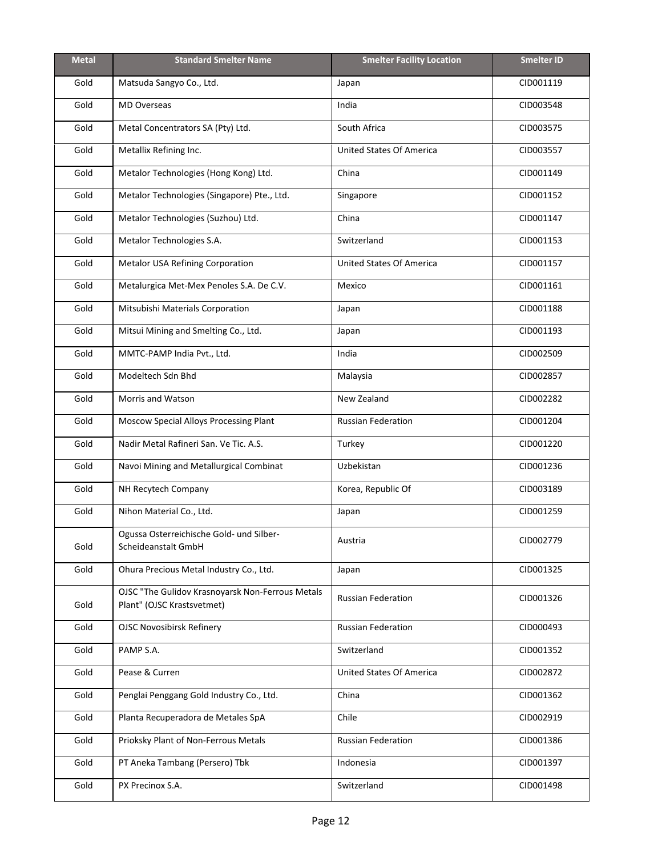| <b>Metal</b> | <b>Standard Smelter Name</b>                                                   | <b>Smelter Facility Location</b> | <b>Smelter ID</b> |
|--------------|--------------------------------------------------------------------------------|----------------------------------|-------------------|
| Gold         | Matsuda Sangyo Co., Ltd.                                                       | Japan                            | CID001119         |
| Gold         | <b>MD Overseas</b>                                                             | India                            | CID003548         |
| Gold         | Metal Concentrators SA (Pty) Ltd.                                              | South Africa                     | CID003575         |
| Gold         | Metallix Refining Inc.                                                         | <b>United States Of America</b>  | CID003557         |
| Gold         | Metalor Technologies (Hong Kong) Ltd.                                          | China                            | CID001149         |
| Gold         | Metalor Technologies (Singapore) Pte., Ltd.                                    | Singapore                        | CID001152         |
| Gold         | Metalor Technologies (Suzhou) Ltd.                                             | China                            | CID001147         |
| Gold         | Metalor Technologies S.A.                                                      | Switzerland                      | CID001153         |
| Gold         | Metalor USA Refining Corporation                                               | <b>United States Of America</b>  | CID001157         |
| Gold         | Metalurgica Met-Mex Penoles S.A. De C.V.                                       | Mexico                           | CID001161         |
| Gold         | Mitsubishi Materials Corporation                                               | Japan                            | CID001188         |
| Gold         | Mitsui Mining and Smelting Co., Ltd.                                           | Japan                            | CID001193         |
| Gold         | MMTC-PAMP India Pvt., Ltd.                                                     | India                            | CID002509         |
| Gold         | Modeltech Sdn Bhd                                                              | Malaysia                         | CID002857         |
| Gold         | Morris and Watson                                                              | New Zealand                      | CID002282         |
| Gold         | <b>Moscow Special Alloys Processing Plant</b>                                  | <b>Russian Federation</b>        | CID001204         |
| Gold         | Nadir Metal Rafineri San. Ve Tic. A.S.                                         | Turkey                           | CID001220         |
| Gold         | Navoi Mining and Metallurgical Combinat                                        | Uzbekistan                       | CID001236         |
| Gold         | NH Recytech Company                                                            | Korea, Republic Of               | CID003189         |
| Gold         | Nihon Material Co., Ltd.                                                       | Japan                            | CID001259         |
| Gold         | Ogussa Osterreichische Gold- und Silber-<br>Scheideanstalt GmbH                | Austria                          | CID002779         |
| Gold         | Ohura Precious Metal Industry Co., Ltd.                                        | Japan                            | CID001325         |
| Gold         | OJSC "The Gulidov Krasnoyarsk Non-Ferrous Metals<br>Plant" (OJSC Krastsvetmet) | <b>Russian Federation</b>        | CID001326         |
| Gold         | <b>OJSC Novosibirsk Refinery</b>                                               | Russian Federation               | CID000493         |
| Gold         | PAMP S.A.                                                                      | Switzerland                      | CID001352         |
| Gold         | Pease & Curren                                                                 | <b>United States Of America</b>  | CID002872         |
| Gold         | Penglai Penggang Gold Industry Co., Ltd.                                       | China                            | CID001362         |
| Gold         | Planta Recuperadora de Metales SpA                                             | Chile                            | CID002919         |
| Gold         | Prioksky Plant of Non-Ferrous Metals                                           | <b>Russian Federation</b>        | CID001386         |
| Gold         | PT Aneka Tambang (Persero) Tbk                                                 | Indonesia                        | CID001397         |
| Gold         | PX Precinox S.A.                                                               | Switzerland                      | CID001498         |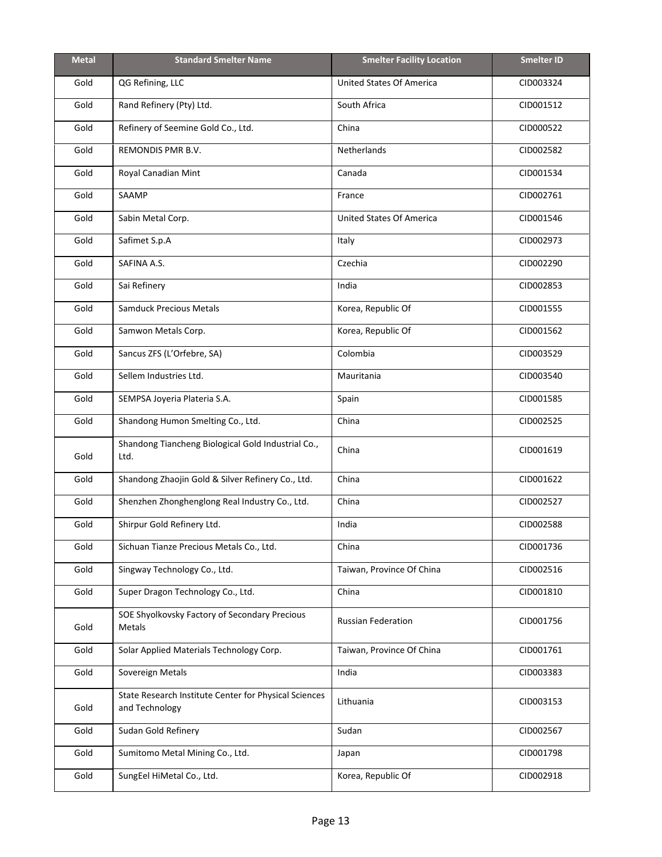| <b>Metal</b> | <b>Standard Smelter Name</b>                                            | <b>Smelter Facility Location</b> | <b>Smelter ID</b> |
|--------------|-------------------------------------------------------------------------|----------------------------------|-------------------|
| Gold         | QG Refining, LLC                                                        | <b>United States Of America</b>  | CID003324         |
| Gold         | Rand Refinery (Pty) Ltd.                                                | South Africa                     | CID001512         |
| Gold         | Refinery of Seemine Gold Co., Ltd.                                      | China                            | CID000522         |
| Gold         | REMONDIS PMR B.V.                                                       | Netherlands                      | CID002582         |
| Gold         | Royal Canadian Mint                                                     | Canada                           | CID001534         |
| Gold         | SAAMP                                                                   | France                           | CID002761         |
| Gold         | Sabin Metal Corp.                                                       | <b>United States Of America</b>  | CID001546         |
| Gold         | Safimet S.p.A                                                           | Italy                            | CID002973         |
| Gold         | SAFINA A.S.                                                             | Czechia                          | CID002290         |
| Gold         | Sai Refinery                                                            | India                            | CID002853         |
| Gold         | <b>Samduck Precious Metals</b>                                          | Korea, Republic Of               | CID001555         |
| Gold         | Samwon Metals Corp.                                                     | Korea, Republic Of               | CID001562         |
| Gold         | Sancus ZFS (L'Orfebre, SA)                                              | Colombia                         | CID003529         |
| Gold         | Sellem Industries Ltd.                                                  | Mauritania                       | CID003540         |
| Gold         | SEMPSA Joyeria Plateria S.A.                                            | Spain                            | CID001585         |
| Gold         | Shandong Humon Smelting Co., Ltd.                                       | China                            | CID002525         |
| Gold         | Shandong Tiancheng Biological Gold Industrial Co.,<br>Ltd.              | China                            | CID001619         |
| Gold         | Shandong Zhaojin Gold & Silver Refinery Co., Ltd.                       | China                            | CID001622         |
| Gold         | Shenzhen Zhonghenglong Real Industry Co., Ltd.                          | China                            | CID002527         |
| Gold         | Shirpur Gold Refinery Ltd.                                              | India                            | CID002588         |
| Gold         | Sichuan Tianze Precious Metals Co., Ltd.                                | China                            | CID001736         |
| Gold         | Singway Technology Co., Ltd.                                            | Taiwan, Province Of China        | CID002516         |
| Gold         | Super Dragon Technology Co., Ltd.                                       | China                            | CID001810         |
| Gold         | SOE Shyolkovsky Factory of Secondary Precious<br>Metals                 | Russian Federation               | CID001756         |
| Gold         | Solar Applied Materials Technology Corp.                                | Taiwan, Province Of China        | CID001761         |
| Gold         | Sovereign Metals                                                        | India                            | CID003383         |
| Gold         | State Research Institute Center for Physical Sciences<br>and Technology | Lithuania                        | CID003153         |
| Gold         | Sudan Gold Refinery                                                     | Sudan                            | CID002567         |
| Gold         | Sumitomo Metal Mining Co., Ltd.                                         | Japan                            | CID001798         |
| Gold         | SungEel HiMetal Co., Ltd.                                               | Korea, Republic Of               | CID002918         |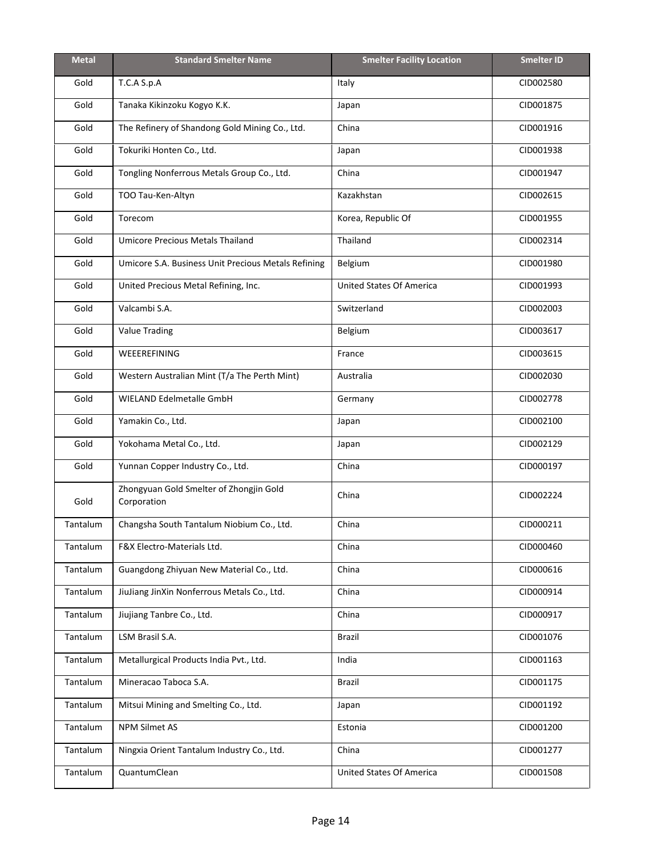| <b>Metal</b> | <b>Standard Smelter Name</b>                           | <b>Smelter Facility Location</b> | <b>Smelter ID</b> |
|--------------|--------------------------------------------------------|----------------------------------|-------------------|
| Gold         | T.C.A S.p.A                                            | Italy                            | CID002580         |
| Gold         | Tanaka Kikinzoku Kogyo K.K.                            | Japan                            | CID001875         |
| Gold         | The Refinery of Shandong Gold Mining Co., Ltd.         | China                            | CID001916         |
| Gold         | Tokuriki Honten Co., Ltd.                              | Japan                            | CID001938         |
| Gold         | Tongling Nonferrous Metals Group Co., Ltd.             | China                            | CID001947         |
| Gold         | TOO Tau-Ken-Altyn                                      | Kazakhstan                       | CID002615         |
| Gold         | Torecom                                                | Korea, Republic Of               | CID001955         |
| Gold         | <b>Umicore Precious Metals Thailand</b>                | Thailand                         | CID002314         |
| Gold         | Umicore S.A. Business Unit Precious Metals Refining    | Belgium                          | CID001980         |
| Gold         | United Precious Metal Refining, Inc.                   | <b>United States Of America</b>  | CID001993         |
| Gold         | Valcambi S.A.                                          | Switzerland                      | CID002003         |
| Gold         | <b>Value Trading</b>                                   | Belgium                          | CID003617         |
| Gold         | WEEEREFINING                                           | France                           | CID003615         |
| Gold         | Western Australian Mint (T/a The Perth Mint)           | Australia                        | CID002030         |
| Gold         | WIELAND Edelmetalle GmbH                               | Germany                          | CID002778         |
| Gold         | Yamakin Co., Ltd.                                      | Japan                            | CID002100         |
| Gold         | Yokohama Metal Co., Ltd.                               | Japan                            | CID002129         |
| Gold         | Yunnan Copper Industry Co., Ltd.                       | China                            | CID000197         |
| Gold         | Zhongyuan Gold Smelter of Zhongjin Gold<br>Corporation | China                            | CID002224         |
| Tantalum     | Changsha South Tantalum Niobium Co., Ltd.              | China                            | CID000211         |
| Tantalum     | F&X Electro-Materials Ltd.                             | China                            | CID000460         |
| Tantalum     | Guangdong Zhiyuan New Material Co., Ltd.               | China                            | CID000616         |
| Tantalum     | JiuJiang JinXin Nonferrous Metals Co., Ltd.            | China                            | CID000914         |
| Tantalum     | Jiujiang Tanbre Co., Ltd.                              | China                            | CID000917         |
| Tantalum     | LSM Brasil S.A.                                        | <b>Brazil</b>                    | CID001076         |
| Tantalum     | Metallurgical Products India Pvt., Ltd.                | India                            | CID001163         |
| Tantalum     | Mineracao Taboca S.A.                                  | Brazil                           | CID001175         |
| Tantalum     | Mitsui Mining and Smelting Co., Ltd.                   | Japan                            | CID001192         |
| Tantalum     | NPM Silmet AS                                          | Estonia                          | CID001200         |
| Tantalum     | Ningxia Orient Tantalum Industry Co., Ltd.             | China                            | CID001277         |
| Tantalum     | QuantumClean                                           | <b>United States Of America</b>  | CID001508         |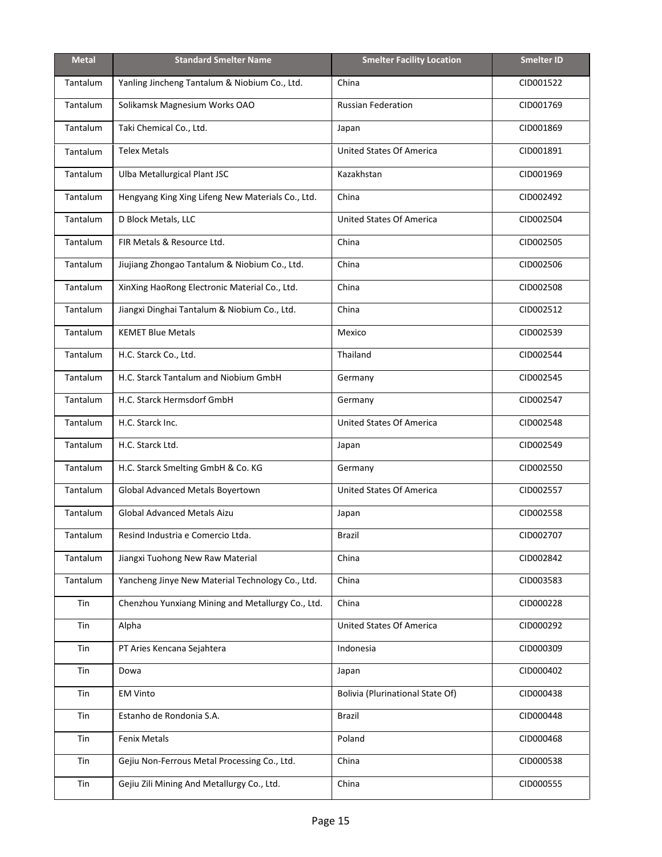| <b>Metal</b>    | <b>Standard Smelter Name</b>                      | <b>Smelter Facility Location</b>        | <b>Smelter ID</b> |
|-----------------|---------------------------------------------------|-----------------------------------------|-------------------|
| <b>Tantalum</b> | Yanling Jincheng Tantalum & Niobium Co., Ltd.     | China                                   | CID001522         |
| Tantalum        | Solikamsk Magnesium Works OAO                     | <b>Russian Federation</b>               | CID001769         |
| Tantalum        | Taki Chemical Co., Ltd.                           | Japan                                   | CID001869         |
| Tantalum        | <b>Telex Metals</b>                               | United States Of America                | CID001891         |
| <b>Tantalum</b> | Ulba Metallurgical Plant JSC                      | Kazakhstan                              | CID001969         |
| Tantalum        | Hengyang King Xing Lifeng New Materials Co., Ltd. | China                                   | CID002492         |
| Tantalum        | D Block Metals, LLC                               | <b>United States Of America</b>         | CID002504         |
| Tantalum        | FIR Metals & Resource Ltd.                        | China                                   | CID002505         |
| Tantalum        | Jiujiang Zhongao Tantalum & Niobium Co., Ltd.     | China                                   | CID002506         |
| Tantalum        | XinXing HaoRong Electronic Material Co., Ltd.     | China                                   | CID002508         |
| Tantalum        | Jiangxi Dinghai Tantalum & Niobium Co., Ltd.      | China                                   | CID002512         |
| Tantalum        | <b>KEMET Blue Metals</b>                          | Mexico                                  | CID002539         |
| Tantalum        | H.C. Starck Co., Ltd.                             | Thailand                                | CID002544         |
| Tantalum        | H.C. Starck Tantalum and Niobium GmbH             | Germany                                 | CID002545         |
| Tantalum        | H.C. Starck Hermsdorf GmbH                        | Germany                                 | CID002547         |
| Tantalum        | H.C. Starck Inc.                                  | <b>United States Of America</b>         | CID002548         |
| <b>Tantalum</b> | H.C. Starck Ltd.                                  | Japan                                   | CID002549         |
| Tantalum        | H.C. Starck Smelting GmbH & Co. KG                | Germany                                 | CID002550         |
| Tantalum        | Global Advanced Metals Boyertown                  | <b>United States Of America</b>         | CID002557         |
| Tantalum        | Global Advanced Metals Aizu                       | Japan                                   | CID002558         |
| Tantalum        | Resind Industria e Comercio Ltda.                 | Brazil                                  | CID002707         |
| Tantalum        | Jiangxi Tuohong New Raw Material                  | China                                   | CID002842         |
| Tantalum        | Yancheng Jinye New Material Technology Co., Ltd.  | China                                   | CID003583         |
| Tin             | Chenzhou Yunxiang Mining and Metallurgy Co., Ltd. | China                                   | CID000228         |
| Tin             | Alpha                                             | <b>United States Of America</b>         | CID000292         |
| Tin             | PT Aries Kencana Sejahtera                        | Indonesia                               | CID000309         |
| Tin             | Dowa                                              | Japan                                   | CID000402         |
| Tin             | <b>EM Vinto</b>                                   | <b>Bolivia (Plurinational State Of)</b> | CID000438         |
| Tin             | Estanho de Rondonia S.A.                          | <b>Brazil</b>                           | CID000448         |
| Tin             | Fenix Metals                                      | Poland                                  | CID000468         |
| Tin             | Gejiu Non-Ferrous Metal Processing Co., Ltd.      | China                                   | CID000538         |
| Tin             | Gejiu Zili Mining And Metallurgy Co., Ltd.        | China                                   | CID000555         |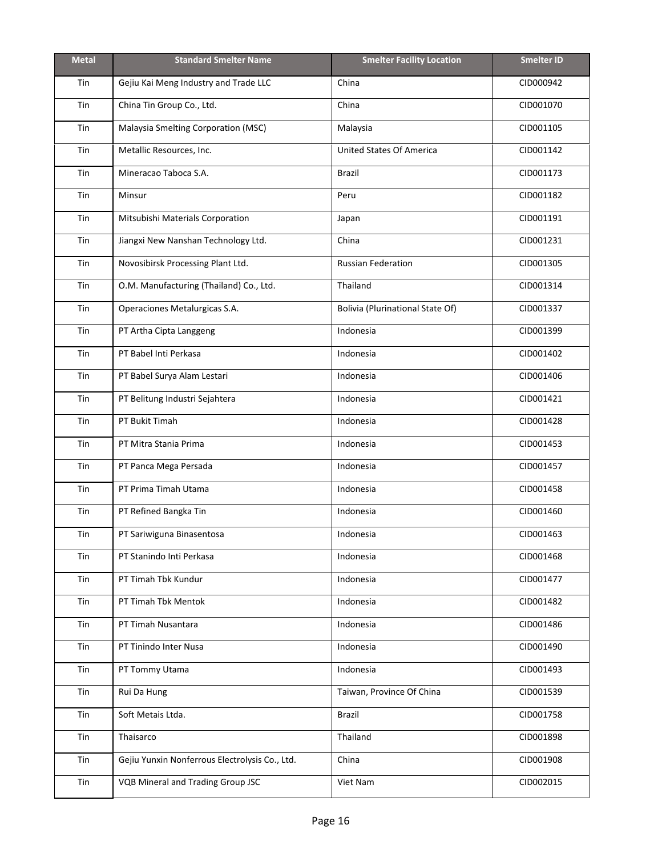| <b>Metal</b> | <b>Standard Smelter Name</b>                   | <b>Smelter Facility Location</b>        | <b>Smelter ID</b> |
|--------------|------------------------------------------------|-----------------------------------------|-------------------|
| Tin          | Gejiu Kai Meng Industry and Trade LLC          | China                                   | CID000942         |
| Tin          | China Tin Group Co., Ltd.                      | China                                   | CID001070         |
| Tin          | Malaysia Smelting Corporation (MSC)            | Malaysia                                | CID001105         |
| Tin          | Metallic Resources, Inc.                       | <b>United States Of America</b>         | CID001142         |
| Tin          | Mineracao Taboca S.A.                          | <b>Brazil</b>                           | CID001173         |
| Tin          | Minsur                                         | Peru                                    | CID001182         |
| Tin          | Mitsubishi Materials Corporation               | Japan                                   | CID001191         |
| Tin          | Jiangxi New Nanshan Technology Ltd.            | China                                   | CID001231         |
| Tin          | Novosibirsk Processing Plant Ltd.              | <b>Russian Federation</b>               | CID001305         |
| Tin          | O.M. Manufacturing (Thailand) Co., Ltd.        | Thailand                                | CID001314         |
| Tin          | Operaciones Metalurgicas S.A.                  | <b>Bolivia (Plurinational State Of)</b> | CID001337         |
| Tin          | PT Artha Cipta Langgeng                        | Indonesia                               | CID001399         |
| Tin          | PT Babel Inti Perkasa                          | Indonesia                               | CID001402         |
| Tin          | PT Babel Surya Alam Lestari                    | Indonesia                               | CID001406         |
| Tin          | PT Belitung Industri Sejahtera                 | Indonesia                               | CID001421         |
| Tin          | PT Bukit Timah                                 | Indonesia                               | CID001428         |
| Tin          | PT Mitra Stania Prima                          | Indonesia                               | CID001453         |
| Tin          | PT Panca Mega Persada                          | Indonesia                               | CID001457         |
| Tin          | PT Prima Timah Utama                           | Indonesia                               | CID001458         |
| Tin          | PT Refined Bangka Tin                          | Indonesia                               | CID001460         |
| Tin          | PT Sariwiguna Binasentosa                      | Indonesia                               | CID001463         |
| Tin          | PT Stanindo Inti Perkasa                       | Indonesia                               | CID001468         |
| Tin          | PT Timah Tbk Kundur                            | Indonesia                               | CID001477         |
| Tin          | PT Timah Tbk Mentok                            | Indonesia                               | CID001482         |
| Tin          | PT Timah Nusantara                             | Indonesia                               | CID001486         |
| Tin          | PT Tinindo Inter Nusa                          | Indonesia                               | CID001490         |
| Tin          | PT Tommy Utama                                 | Indonesia                               | CID001493         |
| Tin          | Rui Da Hung                                    | Taiwan, Province Of China               | CID001539         |
| Tin          | Soft Metais Ltda.                              | Brazil                                  | CID001758         |
| Tin          | Thaisarco                                      | Thailand                                | CID001898         |
| Tin          | Gejiu Yunxin Nonferrous Electrolysis Co., Ltd. | China                                   | CID001908         |
| Tin          | VQB Mineral and Trading Group JSC              | Viet Nam                                | CID002015         |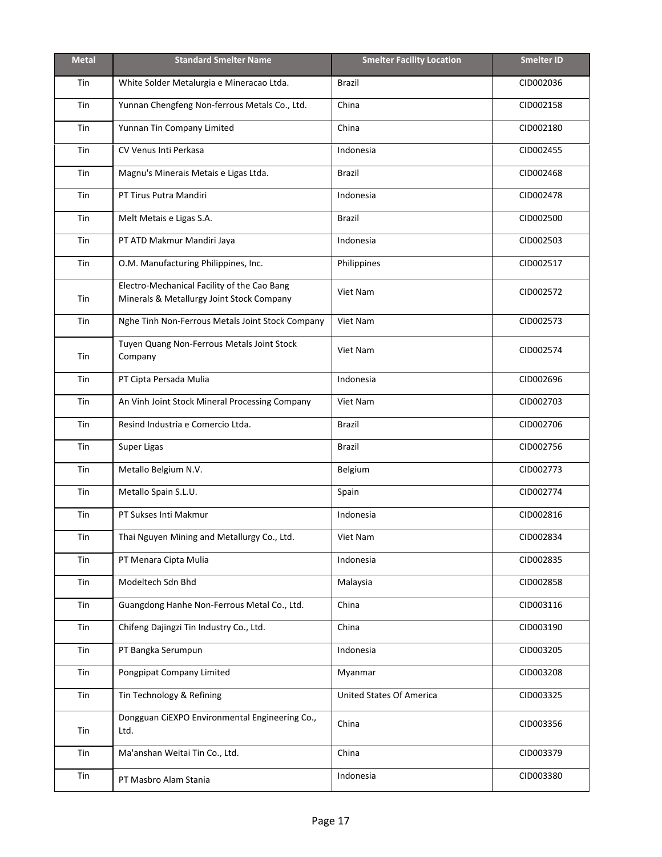| <b>Metal</b> | <b>Standard Smelter Name</b>                                                             | <b>Smelter Facility Location</b> | <b>Smelter ID</b> |
|--------------|------------------------------------------------------------------------------------------|----------------------------------|-------------------|
| Tin          | White Solder Metalurgia e Mineracao Ltda.                                                | <b>Brazil</b>                    | CID002036         |
| Tin          | Yunnan Chengfeng Non-ferrous Metals Co., Ltd.                                            | China                            | CID002158         |
| Tin          | Yunnan Tin Company Limited                                                               | China                            | CID002180         |
| Tin          | CV Venus Inti Perkasa                                                                    | Indonesia                        | CID002455         |
| Tin          | Magnu's Minerais Metais e Ligas Ltda.                                                    | Brazil                           | CID002468         |
| Tin          | PT Tirus Putra Mandiri                                                                   | Indonesia                        | CID002478         |
| Tin          | Melt Metais e Ligas S.A.                                                                 | <b>Brazil</b>                    | CID002500         |
| Tin          | PT ATD Makmur Mandiri Jaya                                                               | Indonesia                        | CID002503         |
| Tin          | O.M. Manufacturing Philippines, Inc.                                                     | Philippines                      | CID002517         |
| Tin          | Electro-Mechanical Facility of the Cao Bang<br>Minerals & Metallurgy Joint Stock Company | Viet Nam                         | CID002572         |
| Tin          | Nghe Tinh Non-Ferrous Metals Joint Stock Company                                         | Viet Nam                         | CID002573         |
| Tin          | Tuyen Quang Non-Ferrous Metals Joint Stock<br>Company                                    | Viet Nam                         | CID002574         |
| Tin          | PT Cipta Persada Mulia                                                                   | Indonesia                        | CID002696         |
| Tin          | An Vinh Joint Stock Mineral Processing Company                                           | Viet Nam                         | CID002703         |
| Tin          | Resind Industria e Comercio Ltda.                                                        | Brazil                           | CID002706         |
| Tin          | Super Ligas                                                                              | Brazil                           | CID002756         |
| Tin          | Metallo Belgium N.V.                                                                     | Belgium                          | CID002773         |
| Tin          | Metallo Spain S.L.U.                                                                     | Spain                            | CID002774         |
| Tin          | PT Sukses Inti Makmur                                                                    | Indonesia                        | CID002816         |
| Tin          | Thai Nguyen Mining and Metallurgy Co., Ltd.                                              | Viet Nam                         | CID002834         |
| Tin          | PT Menara Cipta Mulia                                                                    | Indonesia                        | CID002835         |
| Tin          | Modeltech Sdn Bhd                                                                        | Malaysia                         | CID002858         |
| Tin          | Guangdong Hanhe Non-Ferrous Metal Co., Ltd.                                              | China                            | CID003116         |
| Tin          | Chifeng Dajingzi Tin Industry Co., Ltd.                                                  | China                            | CID003190         |
| Tin          | PT Bangka Serumpun                                                                       | Indonesia                        | CID003205         |
| Tin          | Pongpipat Company Limited                                                                | Myanmar                          | CID003208         |
| Tin          | Tin Technology & Refining                                                                | <b>United States Of America</b>  | CID003325         |
| Tin          | Dongguan CiEXPO Environmental Engineering Co.,<br>Ltd.                                   | China                            | CID003356         |
| Tin          | Ma'anshan Weitai Tin Co., Ltd.                                                           | China                            | CID003379         |
| Tin          | PT Masbro Alam Stania                                                                    | Indonesia                        | CID003380         |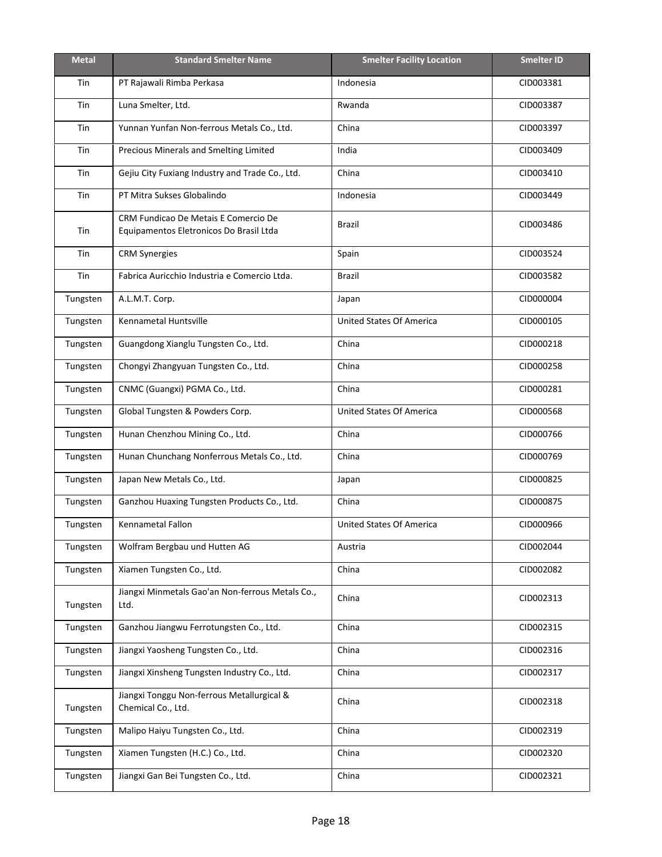| <b>Metal</b> | <b>Standard Smelter Name</b>                                                    | <b>Smelter Facility Location</b> | <b>Smelter ID</b> |
|--------------|---------------------------------------------------------------------------------|----------------------------------|-------------------|
| Tin          | PT Rajawali Rimba Perkasa                                                       | Indonesia                        | CID003381         |
| Tin          | Luna Smelter, Ltd.                                                              | Rwanda                           | CID003387         |
| Tin          | Yunnan Yunfan Non-ferrous Metals Co., Ltd.                                      | China                            | CID003397         |
| Tin          | Precious Minerals and Smelting Limited                                          | India                            | CID003409         |
| Tin          | Gejiu City Fuxiang Industry and Trade Co., Ltd.                                 | China                            | CID003410         |
| Tin          | PT Mitra Sukses Globalindo                                                      | Indonesia                        | CID003449         |
| Tin          | CRM Fundicao De Metais E Comercio De<br>Equipamentos Eletronicos Do Brasil Ltda | <b>Brazil</b>                    | CID003486         |
| Tin          | <b>CRM Synergies</b>                                                            | Spain                            | CID003524         |
| Tin          | Fabrica Auricchio Industria e Comercio Ltda.                                    | <b>Brazil</b>                    | CID003582         |
| Tungsten     | A.L.M.T. Corp.                                                                  | Japan                            | CID000004         |
| Tungsten     | Kennametal Huntsville                                                           | <b>United States Of America</b>  | CID000105         |
| Tungsten     | Guangdong Xianglu Tungsten Co., Ltd.                                            | China                            | CID000218         |
| Tungsten     | Chongyi Zhangyuan Tungsten Co., Ltd.                                            | China                            | CID000258         |
| Tungsten     | CNMC (Guangxi) PGMA Co., Ltd.                                                   | China                            | CID000281         |
| Tungsten     | Global Tungsten & Powders Corp.                                                 | <b>United States Of America</b>  | CID000568         |
| Tungsten     | Hunan Chenzhou Mining Co., Ltd.                                                 | China                            | CID000766         |
| Tungsten     | Hunan Chunchang Nonferrous Metals Co., Ltd.                                     | China                            | CID000769         |
| Tungsten     | Japan New Metals Co., Ltd.                                                      | Japan                            | CID000825         |
| Tungsten     | Ganzhou Huaxing Tungsten Products Co., Ltd.                                     | China                            | CID000875         |
| Tungsten     | <b>Kennametal Fallon</b>                                                        | <b>United States Of America</b>  | CID000966         |
| Tungsten     | Wolfram Bergbau und Hutten AG                                                   | Austria                          | CID002044         |
| Tungsten     | Xiamen Tungsten Co., Ltd.                                                       | China                            | CID002082         |
| Tungsten     | Jiangxi Minmetals Gao'an Non-ferrous Metals Co.,<br>Ltd.                        | China                            | CID002313         |
| Tungsten     | Ganzhou Jiangwu Ferrotungsten Co., Ltd.                                         | China                            | CID002315         |
| Tungsten     | Jiangxi Yaosheng Tungsten Co., Ltd.                                             | China                            | CID002316         |
| Tungsten     | Jiangxi Xinsheng Tungsten Industry Co., Ltd.                                    | China                            | CID002317         |
| Tungsten     | Jiangxi Tonggu Non-ferrous Metallurgical &<br>Chemical Co., Ltd.                | China                            | CID002318         |
| Tungsten     | Malipo Haiyu Tungsten Co., Ltd.                                                 | China                            | CID002319         |
| Tungsten     | Xiamen Tungsten (H.C.) Co., Ltd.                                                | China                            | CID002320         |
| Tungsten     | Jiangxi Gan Bei Tungsten Co., Ltd.                                              | China                            | CID002321         |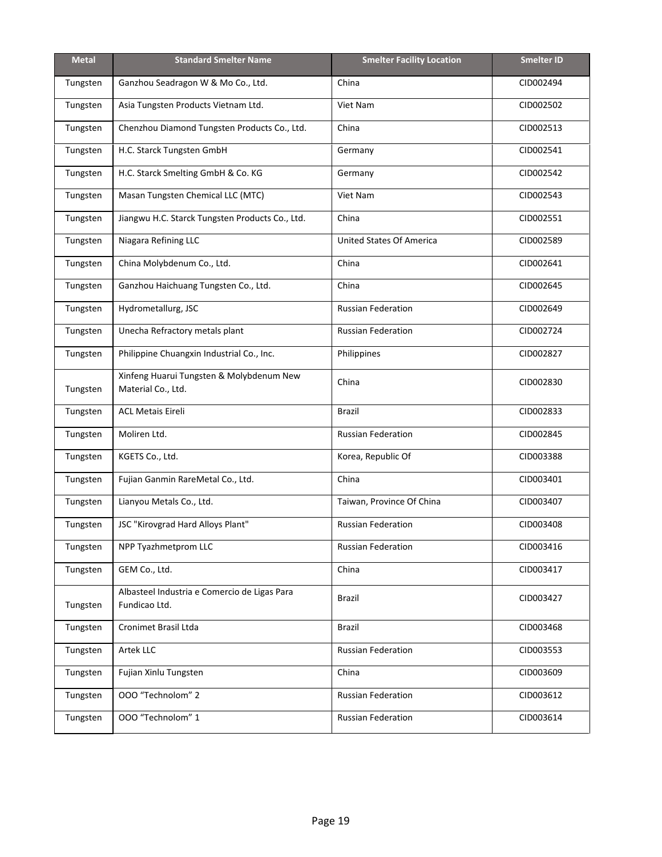<span id="page-18-0"></span>

| <b>Metal</b> | <b>Standard Smelter Name</b>                                   | <b>Smelter Facility Location</b> | <b>Smelter ID</b> |
|--------------|----------------------------------------------------------------|----------------------------------|-------------------|
| Tungsten     | Ganzhou Seadragon W & Mo Co., Ltd.                             | China                            | CID002494         |
| Tungsten     | Asia Tungsten Products Vietnam Ltd.                            | Viet Nam                         | CID002502         |
| Tungsten     | Chenzhou Diamond Tungsten Products Co., Ltd.                   | China                            | CID002513         |
| Tungsten     | H.C. Starck Tungsten GmbH                                      | Germany                          | CID002541         |
| Tungsten     | H.C. Starck Smelting GmbH & Co. KG                             | Germany                          | CID002542         |
| Tungsten     | Masan Tungsten Chemical LLC (MTC)                              | Viet Nam                         | CID002543         |
| Tungsten     | Jiangwu H.C. Starck Tungsten Products Co., Ltd.                | China                            | CID002551         |
| Tungsten     | Niagara Refining LLC                                           | <b>United States Of America</b>  | CID002589         |
| Tungsten     | China Molybdenum Co., Ltd.                                     | China                            | CID002641         |
| Tungsten     | Ganzhou Haichuang Tungsten Co., Ltd.                           | China                            | CID002645         |
| Tungsten     | Hydrometallurg, JSC                                            | <b>Russian Federation</b>        | CID002649         |
| Tungsten     | Unecha Refractory metals plant                                 | <b>Russian Federation</b>        | CID002724         |
| Tungsten     | Philippine Chuangxin Industrial Co., Inc.                      | Philippines                      | CID002827         |
| Tungsten     | Xinfeng Huarui Tungsten & Molybdenum New<br>Material Co., Ltd. | China                            | CID002830         |
| Tungsten     | <b>ACL Metais Eireli</b>                                       | <b>Brazil</b>                    | CID002833         |
| Tungsten     | Moliren Ltd.                                                   | <b>Russian Federation</b>        | CID002845         |
| Tungsten     | KGETS Co., Ltd.                                                | Korea, Republic Of               | CID003388         |
| Tungsten     | Fujian Ganmin RareMetal Co., Ltd.                              | China                            | CID003401         |
| Tungsten     | Lianyou Metals Co., Ltd.                                       | Taiwan, Province Of China        | CID003407         |
| Tungsten     | JSC "Kirovgrad Hard Alloys Plant"                              | <b>Russian Federation</b>        | CID003408         |
| Tungsten     | NPP Tyazhmetprom LLC                                           | <b>Russian Federation</b>        | CID003416         |
| Tungsten     | GEM Co., Ltd.                                                  | China                            | CID003417         |
| Tungsten     | Albasteel Industria e Comercio de Ligas Para<br>Fundicao Ltd.  | Brazil                           | CID003427         |
| Tungsten     | Cronimet Brasil Ltda                                           | Brazil                           | CID003468         |
| Tungsten     | Artek LLC                                                      | <b>Russian Federation</b>        | CID003553         |
| Tungsten     | Fujian Xinlu Tungsten                                          | China                            | CID003609         |
| Tungsten     | 000 "Technolom" 2                                              | <b>Russian Federation</b>        | CID003612         |
| Tungsten     | 000 "Technolom" 1                                              | <b>Russian Federation</b>        | CID003614         |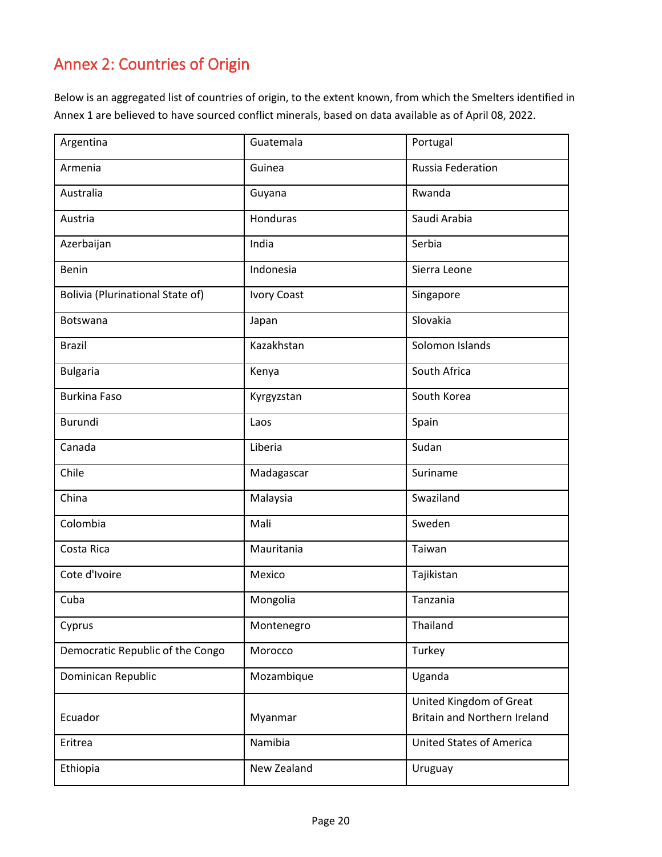# Annex 2: Countries of Origin

Below is an aggregated list of countries of origin, to the extent known, from which the Smelters identified in Annex 1 are believed to have sourced conflict minerals, based on data available as of April 08, 2022.

| Argentina                               | Guatemala          | Portugal                                                       |
|-----------------------------------------|--------------------|----------------------------------------------------------------|
| Armenia                                 | Guinea             | Russia Federation                                              |
| Australia                               | Guyana             | Rwanda                                                         |
| Austria                                 | Honduras           | Saudi Arabia                                                   |
| Azerbaijan                              | India              | Serbia                                                         |
| Benin                                   | Indonesia          | Sierra Leone                                                   |
| <b>Bolivia (Plurinational State of)</b> | <b>Ivory Coast</b> | Singapore                                                      |
| Botswana                                | Japan              | Slovakia                                                       |
| <b>Brazil</b>                           | Kazakhstan         | Solomon Islands                                                |
| <b>Bulgaria</b>                         | Kenya              | South Africa                                                   |
| <b>Burkina Faso</b>                     | Kyrgyzstan         | South Korea                                                    |
| <b>Burundi</b>                          | Laos               | Spain                                                          |
| Canada                                  | Liberia            | Sudan                                                          |
| Chile                                   | Madagascar         | Suriname                                                       |
| China                                   | Malaysia           | Swaziland                                                      |
| Colombia                                | Mali               | Sweden                                                         |
| Costa Rica                              | Mauritania         | Taiwan                                                         |
| Cote d'Ivoire                           | Mexico             | Tajikistan                                                     |
| Cuba                                    | Mongolia           | Tanzania                                                       |
| Cyprus                                  | Montenegro         | Thailand                                                       |
| Democratic Republic of the Congo        | Morocco            | Turkey                                                         |
| Dominican Republic                      | Mozambique         | Uganda                                                         |
| Ecuador                                 | Myanmar            | United Kingdom of Great<br><b>Britain and Northern Ireland</b> |
| Eritrea                                 | Namibia            | <b>United States of America</b>                                |
| Ethiopia                                | New Zealand        | Uruguay                                                        |